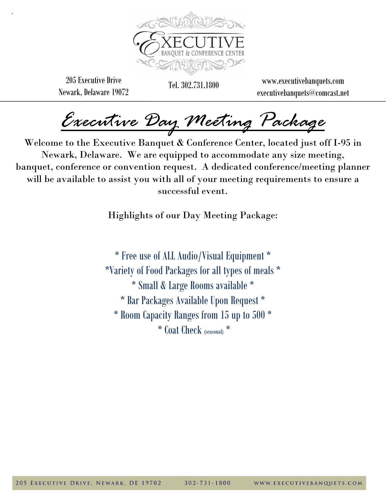

205 Executive Drive Newark, Delaware 19072

`

Tel. 302.731.1800 www.executivebanquets.com executivebanquets@comcast.net

*Executive Day Meeting Package* 

Welcome to the Executive Banquet & Conference Center, located just off I-95 in Newark, Delaware. We are equipped to accommodate any size meeting, banquet, conference or convention request. A dedicated conference/meeting planner will be available to assist you with all of your meeting requirements to ensure a successful event.

Highlights of our Day Meeting Package:

\* Free use of ALL Audio/Visual Equipment \* \*Variety of Food Packages for all types of meals \* \* Small & Large Rooms available \* \* Bar Packages Available Upon Request \* \* Room Capacity Ranges from 15 up to 500 \* \* Coat Check (seasonal) \*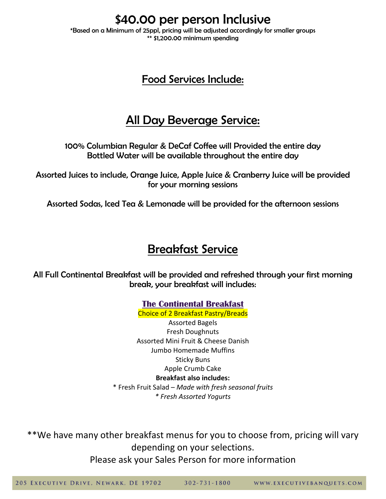\$40.00 per person Inclusive

\*Based on a Minimum of 25ppl, pricing will be adjusted accordingly for smaller groups \*\* \$1,200.00 minimum spending

#### Food Services Include:

## All Day Beverage Service:

100% Columbian Regular & DeCaf Coffee will Provided the entire day Bottled Water will be available throughout the entire day

Assorted Juices to include, Orange Juice, Apple Juice & Cranberry Juice will be provided for your morning sessions

Assorted Sodas, Iced Tea & Lemonade will be provided for the afternoon sessions

## Breakfast Service

All Full Continental Breakfast will be provided and refreshed through your first morning break, your breakfast will includes:

> **The Continental Breakfast**  Choice of 2 Breakfast Pastry/Breads

Assorted Bagels Fresh Doughnuts Assorted Mini Fruit & Cheese Danish Jumbo Homemade Muffins Sticky Buns Apple Crumb Cake **Breakfast also includes:**

\* Fresh Fruit Salad – *Made with fresh seasonal fruits \* Fresh Assorted Yogurts*

\*\*We have many other breakfast menus for you to choose from, pricing will vary depending on your selections.

Please ask your Sales Person for more information